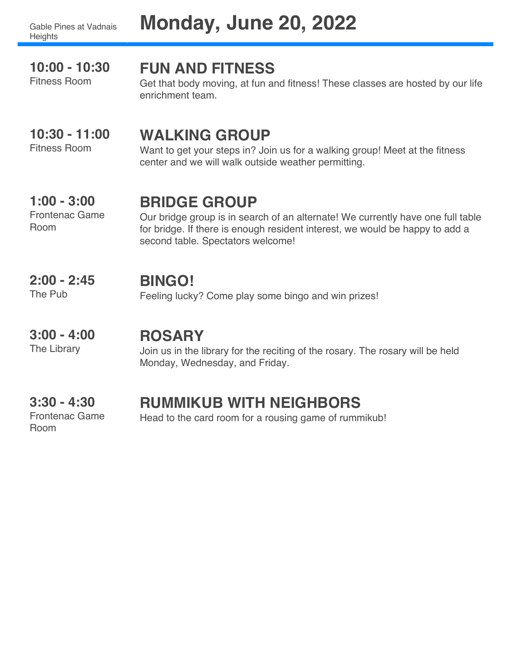**10:00 - 10:30**

#### Fitness Room

#### **FUN AND FITNESS**

Get that body moving, at fun and fitness! These classes are hosted by our life enrichment team.

#### **10:30 - 11:00** Fitness Room

#### **WALKING GROUP**

Want to get your steps in? Join us for a walking group! Meet at the fitness center and we will walk outside weather permitting.

#### **1:00 - 3:00**

#### **BRIDGE GROUP**

Frontenac Game Room

Our bridge group is in search of an alternate! We currently have one full table for bridge. If there is enough resident interest, we would be happy to add a second table. Spectators welcome!

#### **2:00 - 2:45 BINGO!**

The Pub

Feeling lucky? Come play some bingo and win prizes!

#### **3:00 - 4:00 ROSARY**

Join us in the library for the reciting of the rosary. The rosary will be held Monday, Wednesday, and Friday.

#### **3:30 - 4:30**

The Library

### **RUMMIKUB WITH NEIGHBORS**

Frontenac Game Room

Head to the card room for a rousing game of rummikub!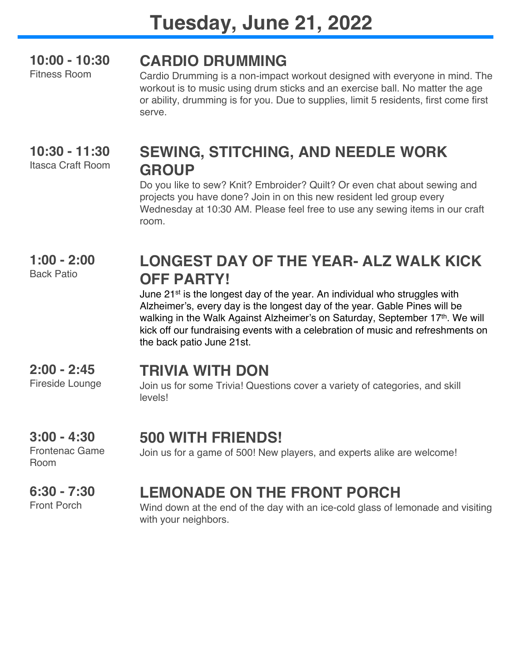#### **10:00 - 10:30**

Fitness Room

### **CARDIO DRUMMING**

Cardio Drumming is a non-impact workout designed with everyone in mind. The workout is to music using drum sticks and an exercise ball. No matter the age or ability, drumming is for you. Due to supplies, limit 5 residents, first come first serve.

#### **10:30 - 11:30** Itasca Craft Room

### **SEWING, STITCHING, AND NEEDLE WORK GROUP**

Do you like to sew? Knit? Embroider? Quilt? Or even chat about sewing and projects you have done? Join in on this new resident led group every Wednesday at 10:30 AM. Please feel free to use any sewing items in our craft room.

#### **1:00 - 2:00** Back Patio

### **LONGEST DAY OF THE YEAR- ALZ WALK KICK OFF PARTY!**

June 21<sup>st</sup> is the longest day of the year. An individual who struggles with Alzheimer's, every day is the longest day of the year. Gable Pines will be walking in the Walk Against Alzheimer's on Saturday, September 17<sup>th</sup>. We will kick off our fundraising events with a celebration of music and refreshments on the back patio June 21st.

#### **2:00 - 2:45** Fireside Lounge **TRIVIA WITH DON**

Join us for some Trivia! Questions cover a variety of categories, and skill levels!

#### **3:00 - 4:30**

#### **500 WITH FRIENDS!**

Join us for a game of 500! New players, and experts alike are welcome!

Frontenac Game Room

#### **6:30 - 7:30**

Front Porch

### **LEMONADE ON THE FRONT PORCH**

Wind down at the end of the day with an ice-cold glass of lemonade and visiting with your neighbors.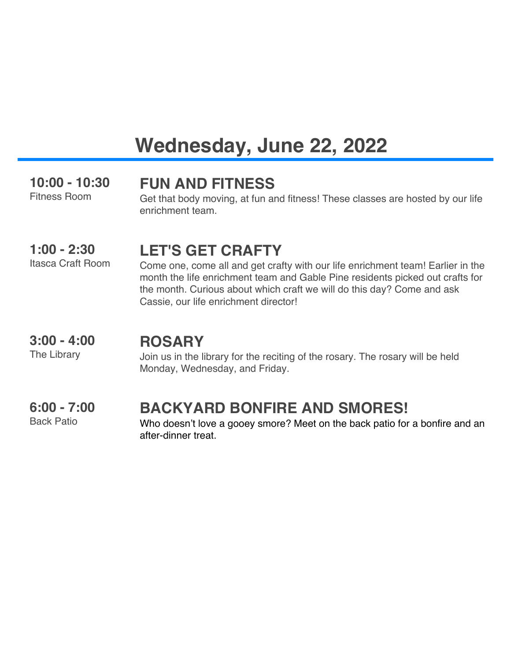## **Wednesday, June 22, 2022**

#### **10:00 - 10:30** Fitness Room **FUN AND FITNESS** Get that body moving, at fun and fitness! These classes are hosted by our life enrichment team.

**1:00 - 2:30**

#### **LET'S GET CRAFTY**

Itasca Craft Room

Come one, come all and get crafty with our life enrichment team! Earlier in the month the life enrichment team and Gable Pine residents picked out crafts for the month. Curious about which craft we will do this day? Come and ask Cassie, our life enrichment director!

The Library

**3:00 - 4:00**

#### **ROSARY**

Join us in the library for the reciting of the rosary. The rosary will be held Monday, Wednesday, and Friday.

**6:00 - 7:00** Back Patio

### **BACKYARD BONFIRE AND SMORES!**

Who doesn't love a gooey smore? Meet on the back patio for a bonfire and an after-dinner treat.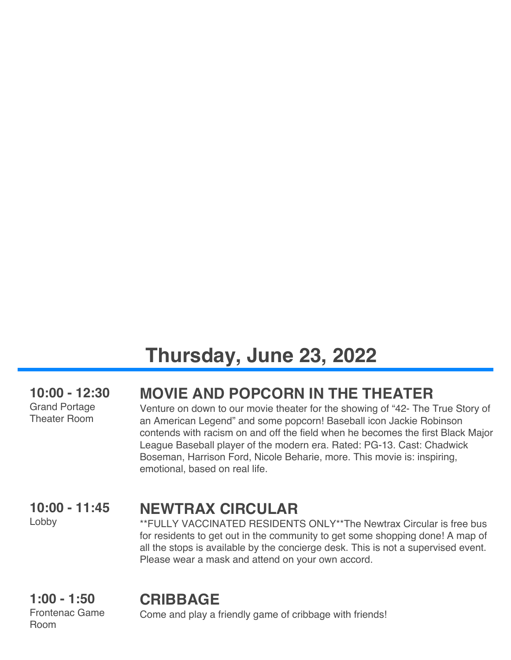## **Thursday, June 23, 2022**

**10:00 - 12:30** Grand Portage Theater Room

### **MOVIE AND POPCORN IN THE THEATER**

Venture on down to our movie theater for the showing of "42- The True Story of an American Legend" and some popcorn! Baseball icon Jackie Robinson contends with racism on and off the field when he becomes the first Black Major League Baseball player of the modern era. Rated: PG-13. Cast: Chadwick Boseman, Harrison Ford, Nicole Beharie, more. This movie is: inspiring, emotional, based on real life.

**10:00 - 11:45** Lobby

#### **NEWTRAX CIRCULAR**

\*\*FULLY VACCINATED RESIDENTS ONLY\*\*The Newtrax Circular is free bus for residents to get out in the community to get some shopping done! A map of all the stops is available by the concierge desk. This is not a supervised event. Please wear a mask and attend on your own accord.

**1:00 - 1:50** Frontenac Game Room

#### **CRIBBAGE**

Come and play a friendly game of cribbage with friends!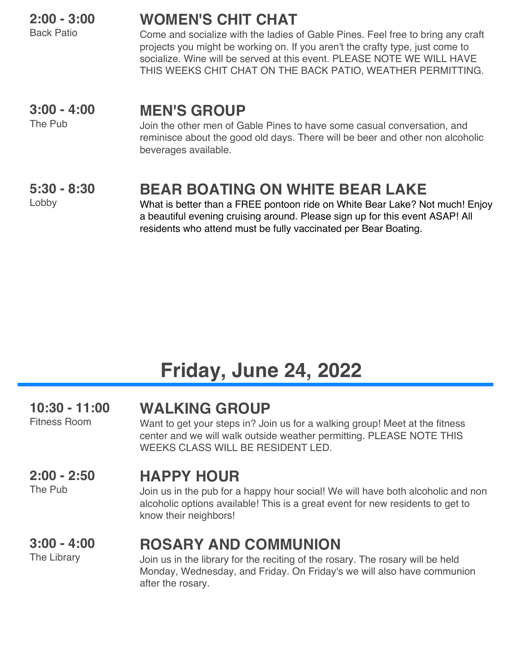**2:00 - 3:00**

#### Back Patio

### **WOMEN'S CHIT CHAT**

Come and socialize with the ladies of Gable Pines. Feel free to bring any craft projects you might be working on. If you aren't the crafty type, just come to socialize. Wine will be served at this event. PLEASE NOTE WE WILL HAVE THIS WEEKS CHIT CHAT ON THE BACK PATIO, WEATHER PERMITTING.

### **3:00 - 4:00**

The Pub

### **MEN'S GROUP**

Join the other men of Gable Pines to have some casual conversation, and reminisce about the good old days. There will be beer and other non alcoholic beverages available.

#### **5:30 - 8:30 BEAR BOATING ON WHITE BEAR LAKE**

Lobby

What is better than a FREE pontoon ride on White Bear Lake? Not much! Enjoy a beautiful evening cruising around. Please sign up for this event ASAP! All residents who attend must be fully vaccinated per Bear Boating.

## **Friday, June 24, 2022**

#### **10:30 - 11:00** Fitness Room **WALKING GROUP** Want to get your steps in? Join us for a walking group! Meet at the fitness center and we will walk outside weather permitting. PLEASE NOTE THIS WEEKS CLASS WILL BE RESIDENT LED. **2:00 - 2:50** The Pub **HAPPY HOUR** Join us in the pub for a happy hour social! We will have both alcoholic and non alcoholic options available! This is a great event for new residents to get to know their neighbors! **3:00 - 4:00** The Library **ROSARY AND COMMUNION** Join us in the library for the reciting of the rosary. The rosary will be held Monday, Wednesday, and Friday. On Friday's we will also have communion after the rosary.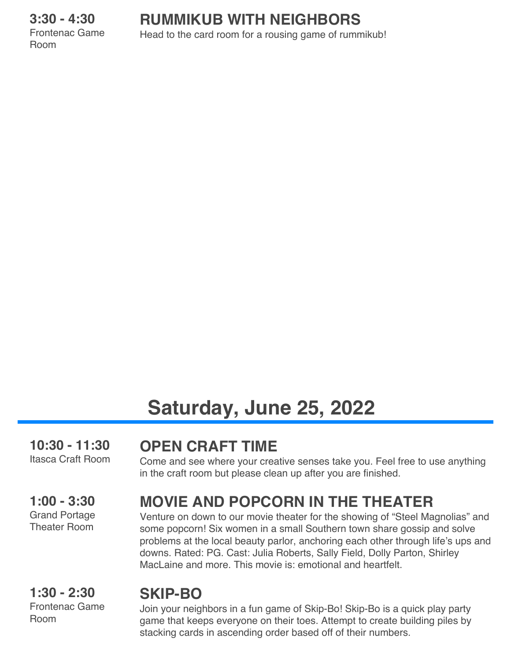**3:30 - 4:30**

Frontenac Game Room

**RUMMIKUB WITH NEIGHBORS** Head to the card room for a rousing game of rummikub!

## **Saturday, June 25, 2022**

**10:30 - 11:30** Itasca Craft Room

#### **OPEN CRAFT TIME**

Come and see where your creative senses take you. Feel free to use anything in the craft room but please clean up after you are finished.

**1:00 - 3:30** Grand Portage Theater Room

### **MOVIE AND POPCORN IN THE THEATER**

Venture on down to our movie theater for the showing of "Steel Magnolias" and some popcorn! Six women in a small Southern town share gossip and solve problems at the local beauty parlor, anchoring each other through life's ups and downs. Rated: PG. Cast: Julia Roberts, Sally Field, Dolly Parton, Shirley MacLaine and more. This movie is: emotional and heartfelt.

### **SKIP-BO**

Join your neighbors in a fun game of Skip-Bo! Skip-Bo is a quick play party game that keeps everyone on their toes. Attempt to create building piles by stacking cards in ascending order based off of their numbers.

**1:30 - 2:30** Frontenac Game Room